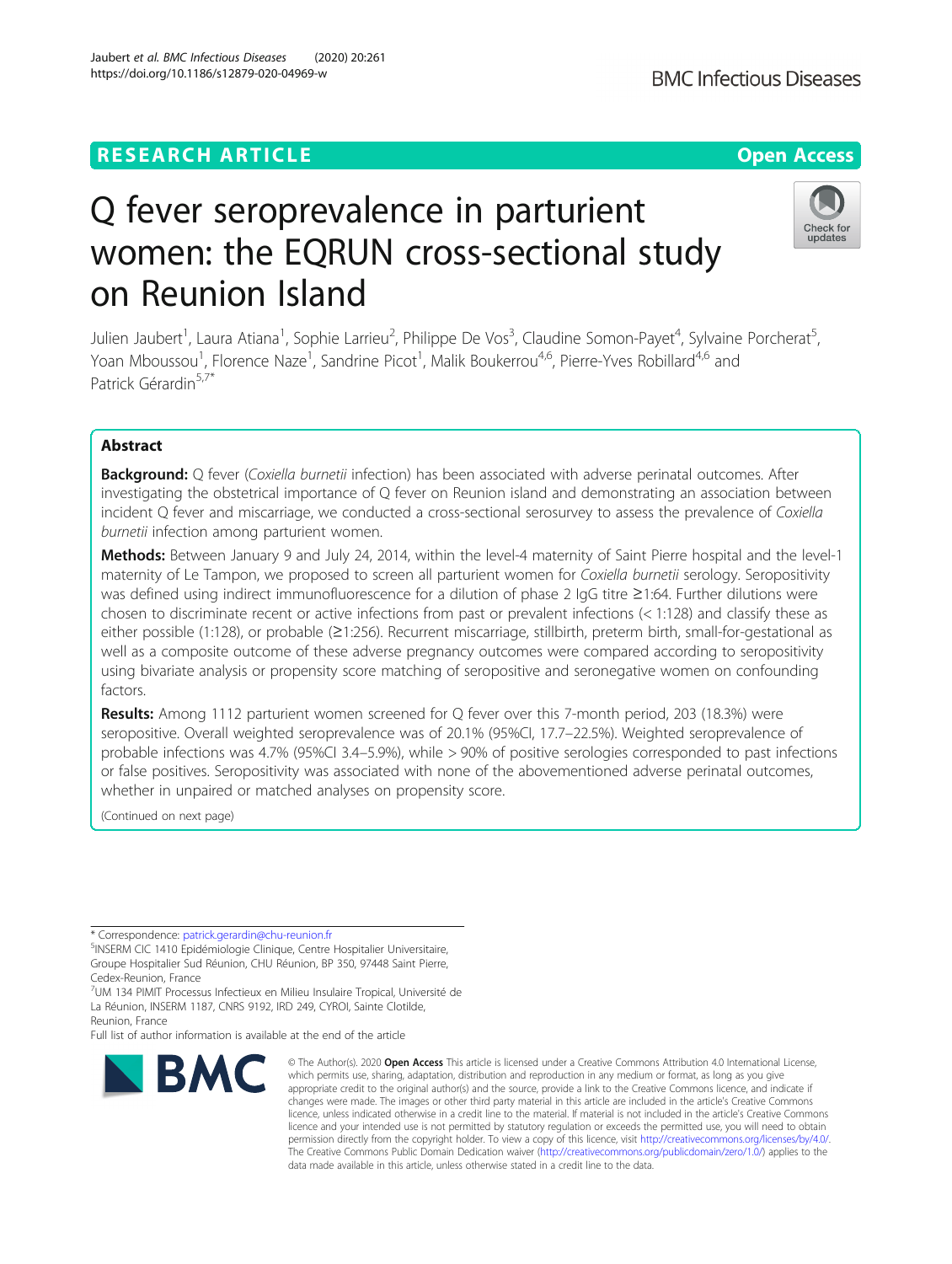# **RESEARCH ARTICLE Example 2014 12:30 The Contract of Contract ACCESS**

# Q fever seroprevalence in parturient women: the EQRUN cross-sectional study on Reunion Island

Julien Jaubert<sup>1</sup>, Laura Atiana<sup>1</sup>, Sophie Larrieu<sup>2</sup>, Philippe De Vos<sup>3</sup>, Claudine Somon-Payet<sup>4</sup>, Sylvaine Porcherat<sup>5</sup> , Yoan Mboussou<sup>1</sup>, Florence Naze<sup>1</sup>, Sandrine Picot<sup>1</sup>, Malik Boukerrou<sup>4,6</sup>, Pierre-Yves Robillard<sup>4,6</sup> and Patrick Gérardin<sup>5,7\*</sup>

# Abstract

Background: O fever (Coxiella burnetii infection) has been associated with adverse perinatal outcomes. After investigating the obstetrical importance of Q fever on Reunion island and demonstrating an association between incident Q fever and miscarriage, we conducted a cross-sectional serosurvey to assess the prevalence of Coxiella burnetii infection among parturient women.

Methods: Between January 9 and July 24, 2014, within the level-4 maternity of Saint Pierre hospital and the level-1 maternity of Le Tampon, we proposed to screen all parturient women for Coxiella burnetii serology. Seropositivity was defined using indirect immunofluorescence for a dilution of phase 2 IgG titre ≥1:64. Further dilutions were chosen to discriminate recent or active infections from past or prevalent infections (< 1:128) and classify these as either possible (1:128), or probable (≥1:256). Recurrent miscarriage, stillbirth, preterm birth, small-for-gestational as well as a composite outcome of these adverse pregnancy outcomes were compared according to seropositivity using bivariate analysis or propensity score matching of seropositive and seronegative women on confounding factors.

Results: Among 1112 parturient women screened for Q fever over this 7-month period, 203 (18.3%) were seropositive. Overall weighted seroprevalence was of 20.1% (95%CI, 17.7–22.5%). Weighted seroprevalence of probable infections was 4.7% (95%CI 3.4–5.9%), while > 90% of positive serologies corresponded to past infections or false positives. Seropositivity was associated with none of the abovementioned adverse perinatal outcomes, whether in unpaired or matched analyses on propensity score.

(Continued on next page)

\* Correspondence: [patrick.gerardin@chu-reunion.fr](mailto:patrick.gerardin@chu-reunion.fr) <sup>5</sup>

**BMC** 

<sup>5</sup>INSERM CIC 1410 Epidémiologie Clinique, Centre Hospitalier Universitaire, Groupe Hospitalier Sud Réunion, CHU Réunion, BP 350, 97448 Saint Pierre, Cedex-Reunion, France

7 UM 134 PIMIT Processus Infectieux en Milieu Insulaire Tropical, Université de La Réunion, INSERM 1187, CNRS 9192, IRD 249, CYROI, Sainte Clotilde,

Reunion, France

Full list of author information is available at the end of the article

which permits use, sharing, adaptation, distribution and reproduction in any medium or format, as long as you give appropriate credit to the original author(s) and the source, provide a link to the Creative Commons licence, and indicate if changes were made. The images or other third party material in this article are included in the article's Creative Commons licence, unless indicated otherwise in a credit line to the material. If material is not included in the article's Creative Commons licence and your intended use is not permitted by statutory regulation or exceeds the permitted use, you will need to obtain permission directly from the copyright holder. To view a copy of this licence, visit [http://creativecommons.org/licenses/by/4.0/.](http://creativecommons.org/licenses/by/4.0/) The Creative Commons Public Domain Dedication waiver [\(http://creativecommons.org/publicdomain/zero/1.0/](http://creativecommons.org/publicdomain/zero/1.0/)) applies to the data made available in this article, unless otherwise stated in a credit line to the data.

© The Author(s), 2020 **Open Access** This article is licensed under a Creative Commons Attribution 4.0 International License,



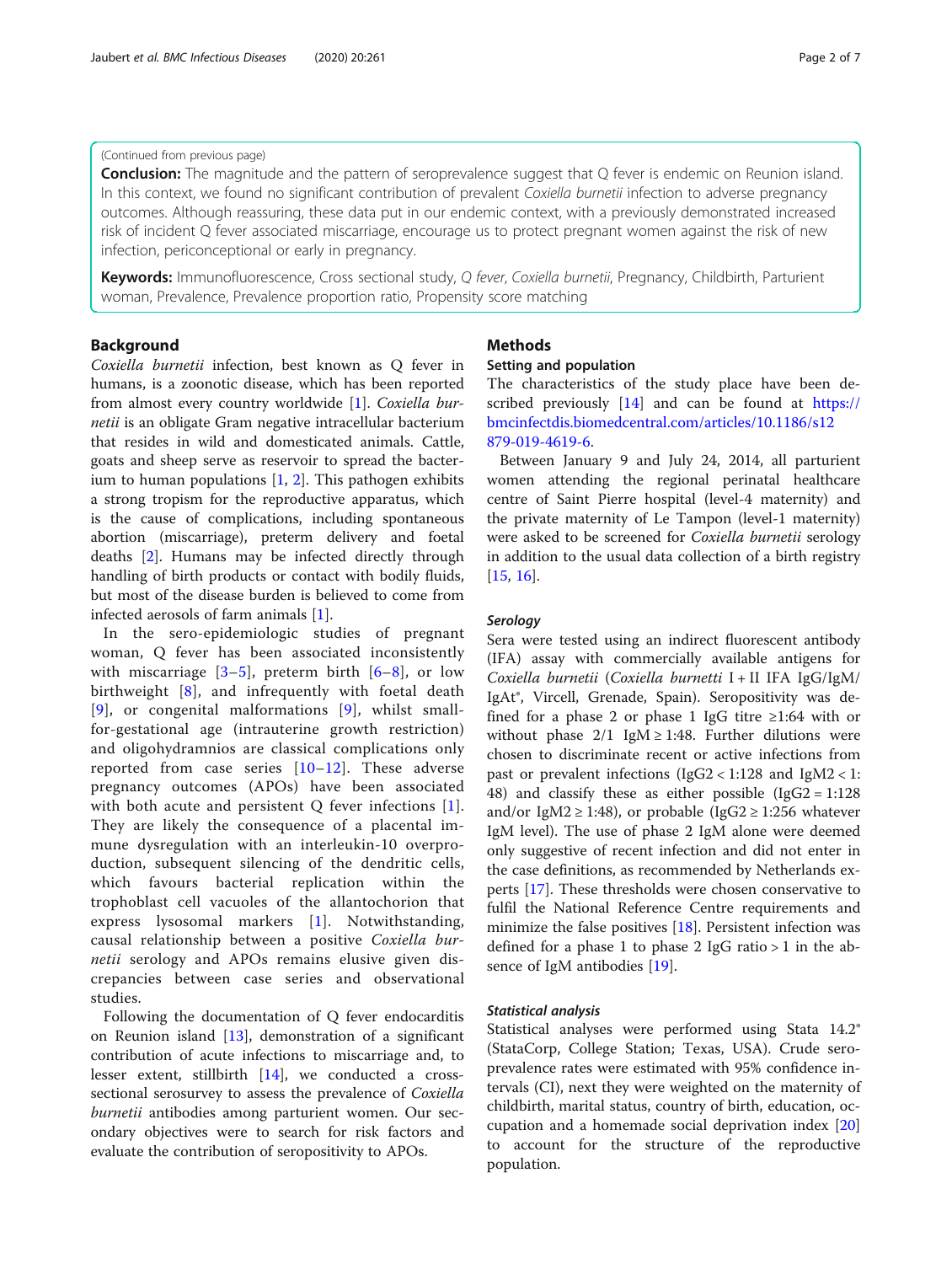# (Continued from previous page)

**Conclusion:** The magnitude and the pattern of seroprevalence suggest that Q fever is endemic on Reunion island. In this context, we found no significant contribution of prevalent Coxiella burnetii infection to adverse pregnancy outcomes. Although reassuring, these data put in our endemic context, with a previously demonstrated increased risk of incident Q fever associated miscarriage, encourage us to protect pregnant women against the risk of new infection, periconceptional or early in pregnancy.

Keywords: Immunofluorescence, Cross sectional study, Q fever, Coxiella burnetii, Pregnancy, Childbirth, Parturient woman, Prevalence, Prevalence proportion ratio, Propensity score matching

# Background

Coxiella burnetii infection, best known as Q fever in humans, is a zoonotic disease, which has been reported from almost every country worldwide [[1\]](#page-6-0). Coxiella burnetii is an obligate Gram negative intracellular bacterium that resides in wild and domesticated animals. Cattle, goats and sheep serve as reservoir to spread the bacterium to human populations [\[1](#page-6-0), [2](#page-6-0)]. This pathogen exhibits a strong tropism for the reproductive apparatus, which is the cause of complications, including spontaneous abortion (miscarriage), preterm delivery and foetal deaths [[2](#page-6-0)]. Humans may be infected directly through handling of birth products or contact with bodily fluids, but most of the disease burden is believed to come from infected aerosols of farm animals [\[1](#page-6-0)].

In the sero-epidemiologic studies of pregnant woman, Q fever has been associated inconsistently with miscarriage  $[3-5]$  $[3-5]$  $[3-5]$  $[3-5]$  $[3-5]$ , preterm birth  $[6-8]$  $[6-8]$  $[6-8]$  $[6-8]$  $[6-8]$ , or low birthweight [\[8](#page-6-0)], and infrequently with foetal death [[9](#page-6-0)], or congenital malformations [\[9](#page-6-0)], whilst smallfor-gestational age (intrauterine growth restriction) and oligohydramnios are classical complications only reported from case series [[10](#page-6-0)–[12\]](#page-6-0). These adverse pregnancy outcomes (APOs) have been associated with both acute and persistent Q fever infections [[1](#page-6-0)]. They are likely the consequence of a placental immune dysregulation with an interleukin-10 overproduction, subsequent silencing of the dendritic cells, which favours bacterial replication within the trophoblast cell vacuoles of the allantochorion that express lysosomal markers [[1\]](#page-6-0). Notwithstanding, causal relationship between a positive Coxiella burnetii serology and APOs remains elusive given discrepancies between case series and observational studies.

Following the documentation of Q fever endocarditis on Reunion island [[13\]](#page-6-0), demonstration of a significant contribution of acute infections to miscarriage and, to lesser extent, stillbirth [\[14\]](#page-6-0), we conducted a crosssectional serosurvey to assess the prevalence of *Coxiella* burnetii antibodies among parturient women. Our secondary objectives were to search for risk factors and evaluate the contribution of seropositivity to APOs.

# Methods

#### Setting and population

The characteristics of the study place have been described previously [\[14](#page-6-0)] and can be found at [https://](https://bmcinfectdis.biomedcentral.com/articles/10.1186/s12879-019-4619-6) [bmcinfectdis.biomedcentral.com/articles/10.1186/s12](https://bmcinfectdis.biomedcentral.com/articles/10.1186/s12879-019-4619-6) [879-019-4619-6](https://bmcinfectdis.biomedcentral.com/articles/10.1186/s12879-019-4619-6).

Between January 9 and July 24, 2014, all parturient women attending the regional perinatal healthcare centre of Saint Pierre hospital (level-4 maternity) and the private maternity of Le Tampon (level-1 maternity) were asked to be screened for Coxiella burnetii serology in addition to the usual data collection of a birth registry [[15,](#page-6-0) [16\]](#page-6-0).

# **Serology**

Sera were tested using an indirect fluorescent antibody (IFA) assay with commercially available antigens for Coxiella burnetii (Coxiella burnetti I + II IFA IgG/IgM/ IgAt®, Vircell, Grenade, Spain). Seropositivity was defined for a phase 2 or phase 1 IgG titre  $\geq 1:64$  with or without phase  $2/1$  IgM  $\ge$  1:48. Further dilutions were chosen to discriminate recent or active infections from past or prevalent infections  $(IgG2 < 1:128$  and  $IgM2 < 1:$ 48) and classify these as either possible (IgG2 = 1:128 and/or IgM2  $\geq$  1:48), or probable (IgG2  $\geq$  1:256 whatever IgM level). The use of phase 2 IgM alone were deemed only suggestive of recent infection and did not enter in the case definitions, as recommended by Netherlands experts [\[17](#page-6-0)]. These thresholds were chosen conservative to fulfil the National Reference Centre requirements and minimize the false positives  $[18]$  $[18]$ . Persistent infection was defined for a phase 1 to phase 2 IgG ratio  $> 1$  in the absence of IgM antibodies [[19\]](#page-6-0).

# Statistical analysis

Statistical analyses were performed using Stata 14.2® (StataCorp, College Station; Texas, USA). Crude seroprevalence rates were estimated with 95% confidence intervals (CI), next they were weighted on the maternity of childbirth, marital status, country of birth, education, occupation and a homemade social deprivation index [[20](#page-6-0)] to account for the structure of the reproductive population.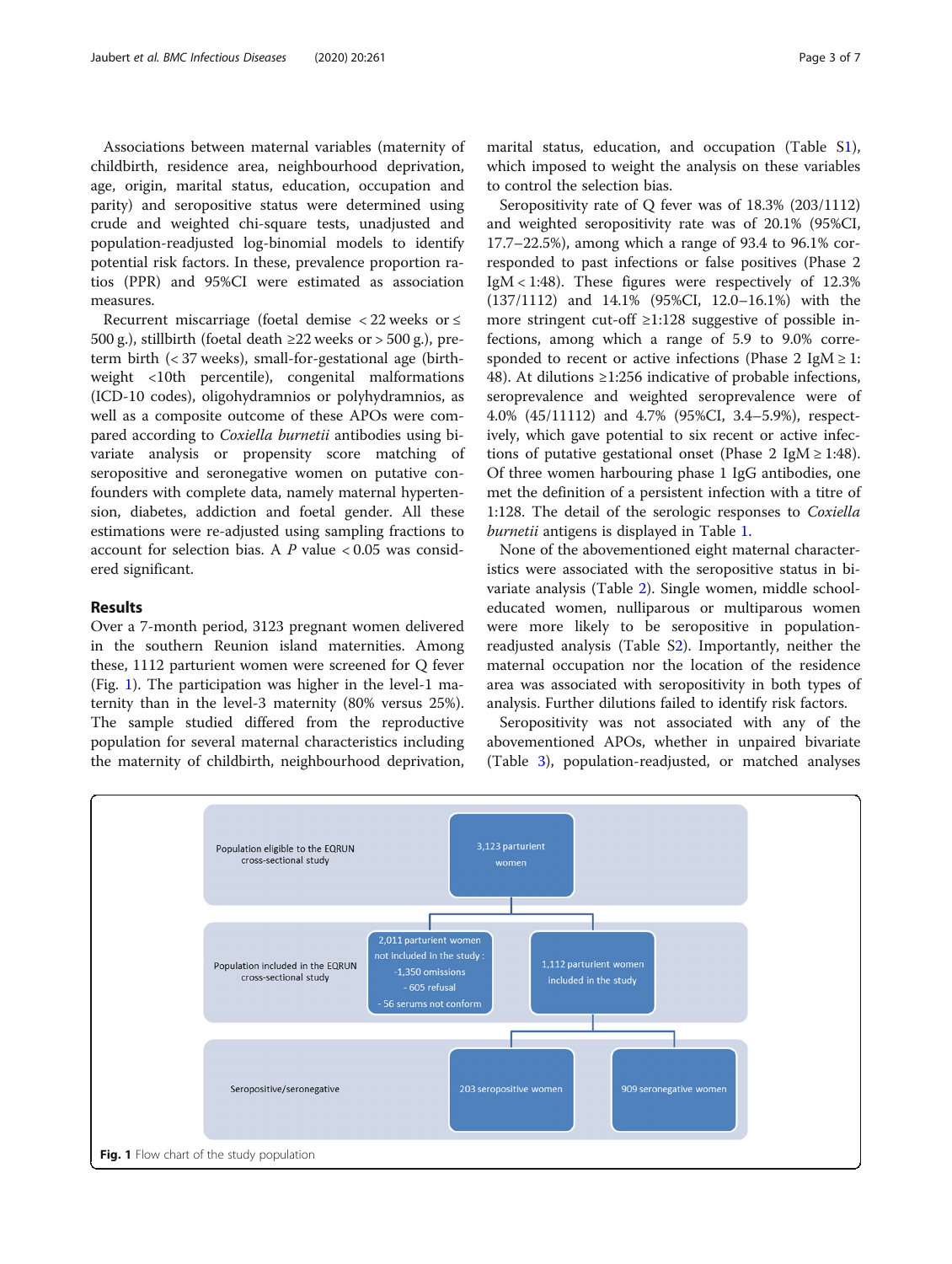Associations between maternal variables (maternity of childbirth, residence area, neighbourhood deprivation, age, origin, marital status, education, occupation and parity) and seropositive status were determined using crude and weighted chi-square tests, unadjusted and population-readjusted log-binomial models to identify potential risk factors. In these, prevalence proportion ratios (PPR) and 95%CI were estimated as association measures.

Recurrent miscarriage (foetal demise < 22 weeks or ≤ 500 g.), stillbirth (foetal death  $\geq$  22 weeks or  $>$  500 g.), preterm birth (< 37 weeks), small-for-gestational age (birthweight <10th percentile), congenital malformations (ICD-10 codes), oligohydramnios or polyhydramnios, as well as a composite outcome of these APOs were compared according to Coxiella burnetii antibodies using bivariate analysis or propensity score matching of seropositive and seronegative women on putative confounders with complete data, namely maternal hypertension, diabetes, addiction and foetal gender. All these estimations were re-adjusted using sampling fractions to account for selection bias. A  $P$  value < 0.05 was considered significant.

#### Results

Over a 7-month period, 3123 pregnant women delivered in the southern Reunion island maternities. Among these, 1112 parturient women were screened for Q fever (Fig. 1). The participation was higher in the level-1 maternity than in the level-3 maternity (80% versus 25%). The sample studied differed from the reproductive population for several maternal characteristics including the maternity of childbirth, neighbourhood deprivation,

marital status, education, and occupation (Table [S1](#page-5-0)), which imposed to weight the analysis on these variables to control the selection bias.

Seropositivity rate of Q fever was of 18.3% (203/1112) and weighted seropositivity rate was of 20.1% (95%CI, 17.7–22.5%), among which a range of 93.4 to 96.1% corresponded to past infections or false positives (Phase 2  $IgM < 1:48$ ). These figures were respectively of  $12.3\%$ (137/1112) and 14.1% (95%CI, 12.0–16.1%) with the more stringent cut-off ≥1:128 suggestive of possible infections, among which a range of 5.9 to 9.0% corresponded to recent or active infections (Phase 2 IgM  $\ge$  1: 48). At dilutions ≥1:256 indicative of probable infections, seroprevalence and weighted seroprevalence were of 4.0% (45/11112) and 4.7% (95%CI, 3.4–5.9%), respectively, which gave potential to six recent or active infections of putative gestational onset (Phase 2 IgM  $\ge$  1:48). Of three women harbouring phase 1 IgG antibodies, one met the definition of a persistent infection with a titre of 1:128. The detail of the serologic responses to Coxiella burnetii antigens is displayed in Table [1](#page-3-0).

None of the abovementioned eight maternal characteristics were associated with the seropositive status in bivariate analysis (Table [2\)](#page-3-0). Single women, middle schooleducated women, nulliparous or multiparous women were more likely to be seropositive in populationreadjusted analysis (Table S[2](#page-5-0)). Importantly, neither the maternal occupation nor the location of the residence area was associated with seropositivity in both types of analysis. Further dilutions failed to identify risk factors.

Seropositivity was not associated with any of the abovementioned APOs, whether in unpaired bivariate (Table [3\)](#page-4-0), population-readjusted, or matched analyses

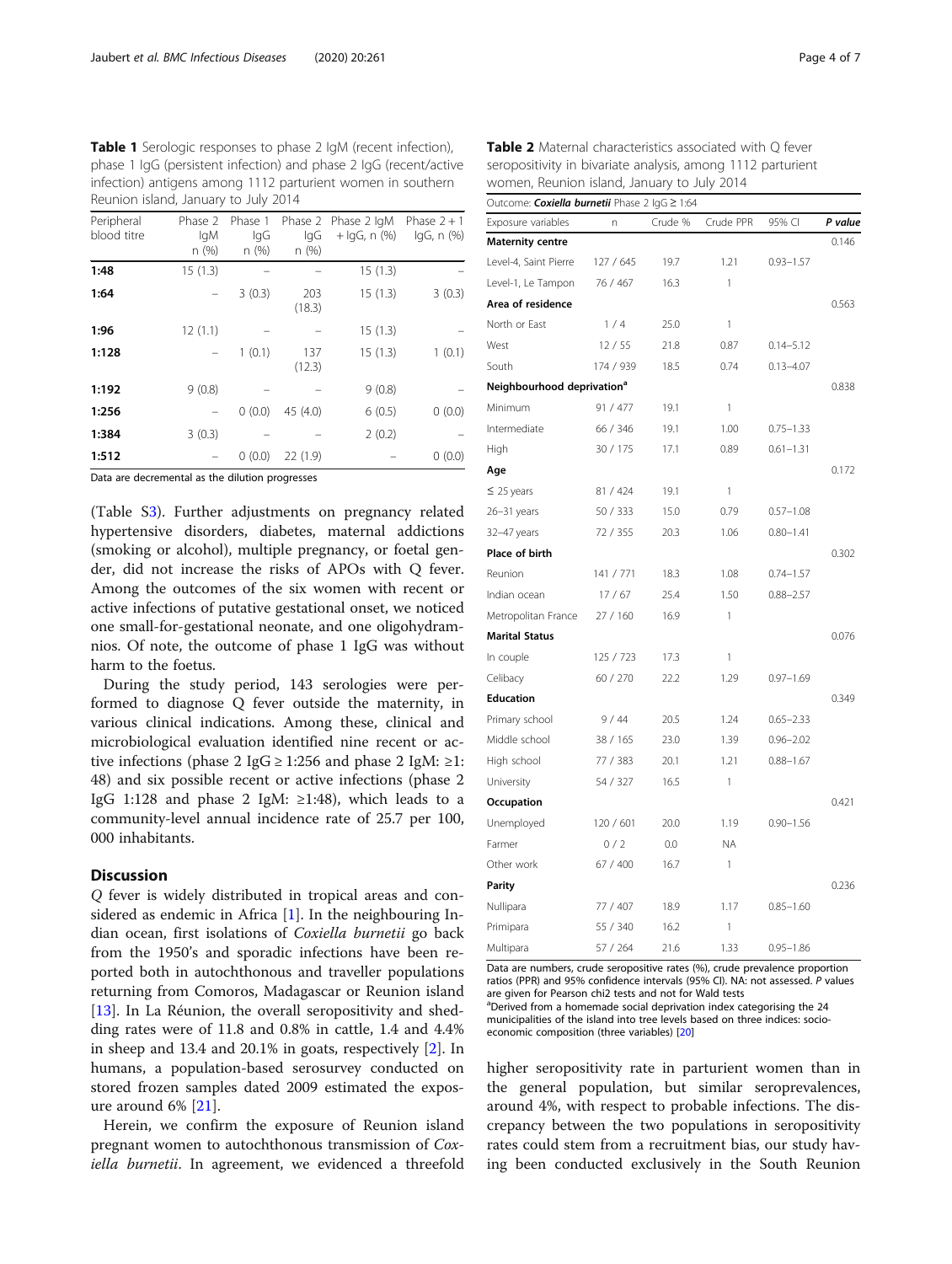<span id="page-3-0"></span>Table 1 Serologic responses to phase 2 IgM (recent infection), phase 1 IgG (persistent infection) and phase 2 IgG (recent/active infection) antigens among 1112 parturient women in southern Reunion island, January to July 2014

| Peripheral<br>blood titre | Phase 2<br>lgM<br>n(%) | Phase 1<br>lgG<br>n(%) | IqG<br>n(%)   | Phase 2 Phase 2 IgM<br>$+$ lgG, n $(\%)$ | Phase $2 + 1$<br>lgG, n (%) |
|---------------------------|------------------------|------------------------|---------------|------------------------------------------|-----------------------------|
| 1:48                      | 15(1.3)                |                        |               | 15(1.3)                                  |                             |
| 1:64                      |                        | 3(0.3)                 | 203<br>(18.3) | 15(1.3)                                  | 3(0.3)                      |
| 1:96                      | 12(1.1)                |                        |               | 15(1.3)                                  |                             |
| 1:128                     |                        | 1(0.1)                 | 137<br>(12.3) | 15(1.3)                                  | 1(0.1)                      |
| 1:192                     | 9(0.8)                 |                        |               | 9(0.8)                                   |                             |
| 1:256                     |                        | 0(0.0)                 | 45 (4.0)      | 6(0.5)                                   | 0(0.0)                      |
| 1:384                     | 3(0.3)                 |                        |               | 2(0.2)                                   |                             |
| 1:512                     |                        | 0(0.0)                 | 22(1.9)       |                                          | 0(0.0)                      |

Data are decremental as the dilution progresses

(Table [S3](#page-5-0)). Further adjustments on pregnancy related hypertensive disorders, diabetes, maternal addictions (smoking or alcohol), multiple pregnancy, or foetal gender, did not increase the risks of APOs with Q fever. Among the outcomes of the six women with recent or active infections of putative gestational onset, we noticed one small-for-gestational neonate, and one oligohydramnios. Of note, the outcome of phase 1 IgG was without harm to the foetus.

During the study period, 143 serologies were performed to diagnose Q fever outside the maternity, in various clinical indications. Among these, clinical and microbiological evaluation identified nine recent or active infections (phase 2 IgG  $\geq$  1:256 and phase 2 IgM:  $\geq$  1: 48) and six possible recent or active infections (phase 2 IgG 1:128 and phase 2 IgM:  $\geq$ 1:48), which leads to a community-level annual incidence rate of 25.7 per 100, 000 inhabitants.

# **Discussion**

Q fever is widely distributed in tropical areas and considered as endemic in Africa  $[1]$  $[1]$ . In the neighbouring Indian ocean, first isolations of Coxiella burnetii go back from the 1950's and sporadic infections have been reported both in autochthonous and traveller populations returning from Comoros, Madagascar or Reunion island [[13\]](#page-6-0). In La Réunion, the overall seropositivity and shedding rates were of 11.8 and 0.8% in cattle, 1.4 and 4.4% in sheep and 13.4 and 20.1% in goats, respectively [\[2](#page-6-0)]. In humans, a population-based serosurvey conducted on stored frozen samples dated 2009 estimated the exposure around 6% [[21\]](#page-6-0).

Herein, we confirm the exposure of Reunion island pregnant women to autochthonous transmission of Coxiella burnetii. In agreement, we evidenced a threefold

Table 2 Maternal characteristics associated with Q fever seropositivity in bivariate analysis, among 1112 parturient women, Reunion island, January to July 2014

|                                        | Outcome: <i>Coxiella burnetii</i> Phase 2 lgG ≥ 1:64 |         |           |               |         |  |  |  |  |  |
|----------------------------------------|------------------------------------------------------|---------|-----------|---------------|---------|--|--|--|--|--|
| Exposure variables                     | n                                                    | Crude % | Crude PPR | 95% CI        | P value |  |  |  |  |  |
| <b>Maternity centre</b>                |                                                      |         |           |               | 0.146   |  |  |  |  |  |
| Level-4, Saint Pierre                  | 127 / 645                                            | 19.7    | 1.21      | $0.93 - 1.57$ |         |  |  |  |  |  |
| Level-1, Le Tampon                     | 76 / 467                                             | 16.3    | 1         |               |         |  |  |  |  |  |
| Area of residence                      |                                                      |         |           |               | 0.563   |  |  |  |  |  |
| North or East                          | 1/4                                                  | 25.0    | 1         |               |         |  |  |  |  |  |
| West                                   | 12/55                                                | 21.8    | 0.87      | $0.14 - 5.12$ |         |  |  |  |  |  |
| South                                  | 174 / 939                                            | 18.5    | 0.74      | $0.13 - 4.07$ |         |  |  |  |  |  |
| Neighbourhood deprivation <sup>a</sup> |                                                      |         |           |               | 0.838   |  |  |  |  |  |
| Minimum                                | 91 / 477                                             | 19.1    | 1         |               |         |  |  |  |  |  |
| Intermediate                           | 66 / 346                                             | 19.1    | 1.00      | $0.75 - 1.33$ |         |  |  |  |  |  |
| High                                   | 30 / 175                                             | 17.1    | 0.89      | $0.61 - 1.31$ |         |  |  |  |  |  |
| Age                                    |                                                      |         |           |               | 0.172   |  |  |  |  |  |
| $\leq$ 25 years                        | 81 / 424                                             | 19.1    | 1         |               |         |  |  |  |  |  |
| $26 - 31$ years                        | 50 / 333                                             | 15.0    | 0.79      | $0.57 - 1.08$ |         |  |  |  |  |  |
| 32-47 years                            | 72 / 355                                             | 20.3    | 1.06      | $0.80 - 1.41$ |         |  |  |  |  |  |
| Place of birth                         |                                                      |         |           |               | 0.302   |  |  |  |  |  |
| Reunion                                | 141 / 771                                            | 18.3    | 1.08      | $0.74 - 1.57$ |         |  |  |  |  |  |
| Indian ocean                           | 17/67                                                | 25.4    | 1.50      | $0.88 - 2.57$ |         |  |  |  |  |  |
| Metropolitan France                    | 27 / 160                                             | 16.9    | 1         |               |         |  |  |  |  |  |
| <b>Marital Status</b>                  |                                                      |         |           |               | 0.076   |  |  |  |  |  |
| In couple                              | 125 / 723                                            | 17.3    | 1         |               |         |  |  |  |  |  |
| Celibacy                               | 60 / 270                                             | 22.2    | 1.29      | $0.97 - 1.69$ |         |  |  |  |  |  |
| <b>Education</b>                       |                                                      |         |           |               | 0.349   |  |  |  |  |  |
| Primary school                         | 9/44                                                 | 20.5    | 1.24      | $0.65 - 2.33$ |         |  |  |  |  |  |
| Middle school                          | 38 / 165                                             | 23.0    | 1.39      | $0.96 - 2.02$ |         |  |  |  |  |  |
| High school                            | 77 / 383                                             | 20.1    | 1.21      | $0.88 - 1.67$ |         |  |  |  |  |  |
| University                             | 54 / 327                                             | 16.5    | 1         |               |         |  |  |  |  |  |
| Occupation                             |                                                      |         |           |               | 0.421   |  |  |  |  |  |
| Unemployed                             | 120 / 601                                            | 20.0    | 1.19      | $0.90 - 1.56$ |         |  |  |  |  |  |
| Farmer                                 | 0/2                                                  | 0.0     | <b>ΝΑ</b> |               |         |  |  |  |  |  |
| Other work                             | 67 / 400                                             | 16.7    | 1         |               |         |  |  |  |  |  |
| Parity                                 |                                                      |         |           |               | 0.236   |  |  |  |  |  |
| Nullipara                              | 77 / 407                                             | 18.9    | 1.17      | $0.85 - 1.60$ |         |  |  |  |  |  |
| Primipara                              | 55 / 340                                             | 16.2    | 1         |               |         |  |  |  |  |  |
| Multipara                              | 57 / 264                                             | 21.6    | 1.33      | $0.95 - 1.86$ |         |  |  |  |  |  |

Data are numbers, crude seropositive rates (%), crude prevalence proportion ratios (PPR) and 95% confidence intervals (95% CI). NA: not assessed. P values are given for Pearson chi2 tests and not for Wald tests <sup>a</sup>Derived from a homemade social deprivation index categorising the 24 municipalities of the island into tree levels based on three indices: socioeconomic composition (three variables) [\[20\]](#page-6-0)

higher seropositivity rate in parturient women than in the general population, but similar seroprevalences, around 4%, with respect to probable infections. The discrepancy between the two populations in seropositivity rates could stem from a recruitment bias, our study having been conducted exclusively in the South Reunion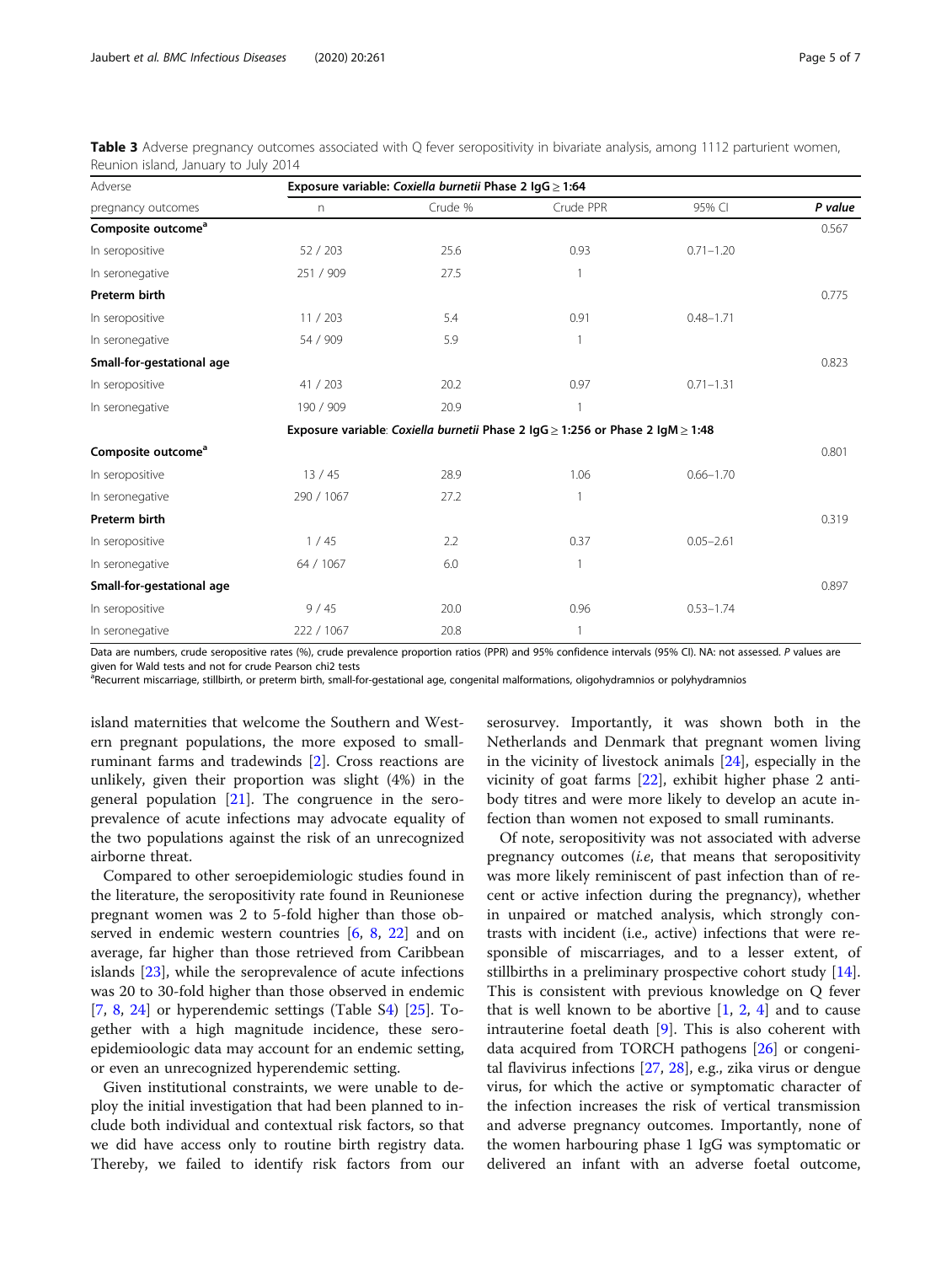| Adverse                        | Exposure variable: Coxiella burnetii Phase 2 IgG ≥ 1:64 |         |                                                                                            |               |         |  |  |
|--------------------------------|---------------------------------------------------------|---------|--------------------------------------------------------------------------------------------|---------------|---------|--|--|
| pregnancy outcomes             | $\mathsf{n}$                                            | Crude % | Crude PPR                                                                                  | 95% CI        | P value |  |  |
| Composite outcome <sup>a</sup> |                                                         |         |                                                                                            |               | 0.567   |  |  |
| In seropositive                | 52/203                                                  | 25.6    | 0.93                                                                                       | $0.71 - 1.20$ |         |  |  |
| In seronegative                | 251 / 909                                               | 27.5    |                                                                                            |               |         |  |  |
| Preterm birth                  |                                                         |         |                                                                                            |               | 0.775   |  |  |
| In seropositive                | 11 / 203                                                | 5.4     | 0.91                                                                                       | $0.48 - 1.71$ |         |  |  |
| In seronegative                | 54 / 909                                                | 5.9     |                                                                                            |               |         |  |  |
| Small-for-gestational age      |                                                         |         |                                                                                            |               | 0.823   |  |  |
| In seropositive                | 41 / 203                                                | 20.2    | 0.97                                                                                       | $0.71 - 1.31$ |         |  |  |
| In seronegative                | 190 / 909                                               | 20.9    |                                                                                            |               |         |  |  |
|                                |                                                         |         | Exposure variable: Coxiella burnetii Phase 2 $\lg G \ge 1:256$ or Phase 2 $\lg M \ge 1:48$ |               |         |  |  |
| Composite outcome <sup>a</sup> |                                                         |         |                                                                                            |               | 0.801   |  |  |
| In seropositive                | 13/45                                                   | 28.9    | 1.06                                                                                       | $0.66 - 1.70$ |         |  |  |
| In seronegative                | 290 / 1067                                              | 27.2    | $\mathbf{1}$                                                                               |               |         |  |  |
| Preterm birth                  |                                                         |         |                                                                                            |               | 0.319   |  |  |
| In seropositive                | 1/45                                                    | 2.2     | 0.37                                                                                       | $0.05 - 2.61$ |         |  |  |
| In seronegative                | 64 / 1067                                               | 6.0     | $\mathbf{1}$                                                                               |               |         |  |  |
| Small-for-gestational age      |                                                         |         |                                                                                            |               | 0.897   |  |  |
| In seropositive                | 9/45                                                    | 20.0    | 0.96                                                                                       | $0.53 - 1.74$ |         |  |  |
| In seronegative                | 222 / 1067                                              | 20.8    | $\mathbf{1}$                                                                               |               |         |  |  |

<span id="page-4-0"></span>Table 3 Adverse pregnancy outcomes associated with Q fever seropositivity in bivariate analysis, among 1112 parturient women, Reunion island, January to July 2014

Data are numbers, crude seropositive rates (%), crude prevalence proportion ratios (PPR) and 95% confidence intervals (95% CI). NA: not assessed. P values are given for Wald tests and not for crude Pearson chi2 tests

<sup>a</sup>Recurrent miscarriage, stillbirth, or preterm birth, small-for-gestational age, congenital malformations, oligohydramnios or polyhydramnios

island maternities that welcome the Southern and Western pregnant populations, the more exposed to smallruminant farms and tradewinds [\[2](#page-6-0)]. Cross reactions are unlikely, given their proportion was slight (4%) in the general population  $[21]$ . The congruence in the seroprevalence of acute infections may advocate equality of the two populations against the risk of an unrecognized airborne threat.

Compared to other seroepidemiologic studies found in the literature, the seropositivity rate found in Reunionese pregnant women was 2 to 5-fold higher than those observed in endemic western countries [\[6](#page-6-0), [8,](#page-6-0) [22\]](#page-6-0) and on average, far higher than those retrieved from Caribbean islands [[23\]](#page-6-0), while the seroprevalence of acute infections was 20 to 30-fold higher than those observed in endemic [[7,](#page-6-0) [8,](#page-6-0) [24](#page-6-0)] or hyperendemic settings (Table S[4](#page-5-0)) [\[25](#page-6-0)]. Together with a high magnitude incidence, these seroepidemioologic data may account for an endemic setting, or even an unrecognized hyperendemic setting.

Given institutional constraints, we were unable to deploy the initial investigation that had been planned to include both individual and contextual risk factors, so that we did have access only to routine birth registry data. Thereby, we failed to identify risk factors from our

serosurvey. Importantly, it was shown both in the Netherlands and Denmark that pregnant women living in the vicinity of livestock animals [[24](#page-6-0)], especially in the vicinity of goat farms [[22\]](#page-6-0), exhibit higher phase 2 antibody titres and were more likely to develop an acute infection than women not exposed to small ruminants.

Of note, seropositivity was not associated with adverse pregnancy outcomes (i.e, that means that seropositivity was more likely reminiscent of past infection than of recent or active infection during the pregnancy), whether in unpaired or matched analysis, which strongly contrasts with incident (i.e., active) infections that were responsible of miscarriages, and to a lesser extent, of stillbirths in a preliminary prospective cohort study [\[14](#page-6-0)]. This is consistent with previous knowledge on Q fever that is well known to be abortive  $[1, 2, 4]$  $[1, 2, 4]$  $[1, 2, 4]$  $[1, 2, 4]$  $[1, 2, 4]$  $[1, 2, 4]$  $[1, 2, 4]$  and to cause intrauterine foetal death [\[9](#page-6-0)]. This is also coherent with data acquired from TORCH pathogens [[26\]](#page-6-0) or congenital flavivirus infections [\[27](#page-6-0), [28](#page-6-0)], e.g., zika virus or dengue virus, for which the active or symptomatic character of the infection increases the risk of vertical transmission and adverse pregnancy outcomes. Importantly, none of the women harbouring phase 1 IgG was symptomatic or delivered an infant with an adverse foetal outcome,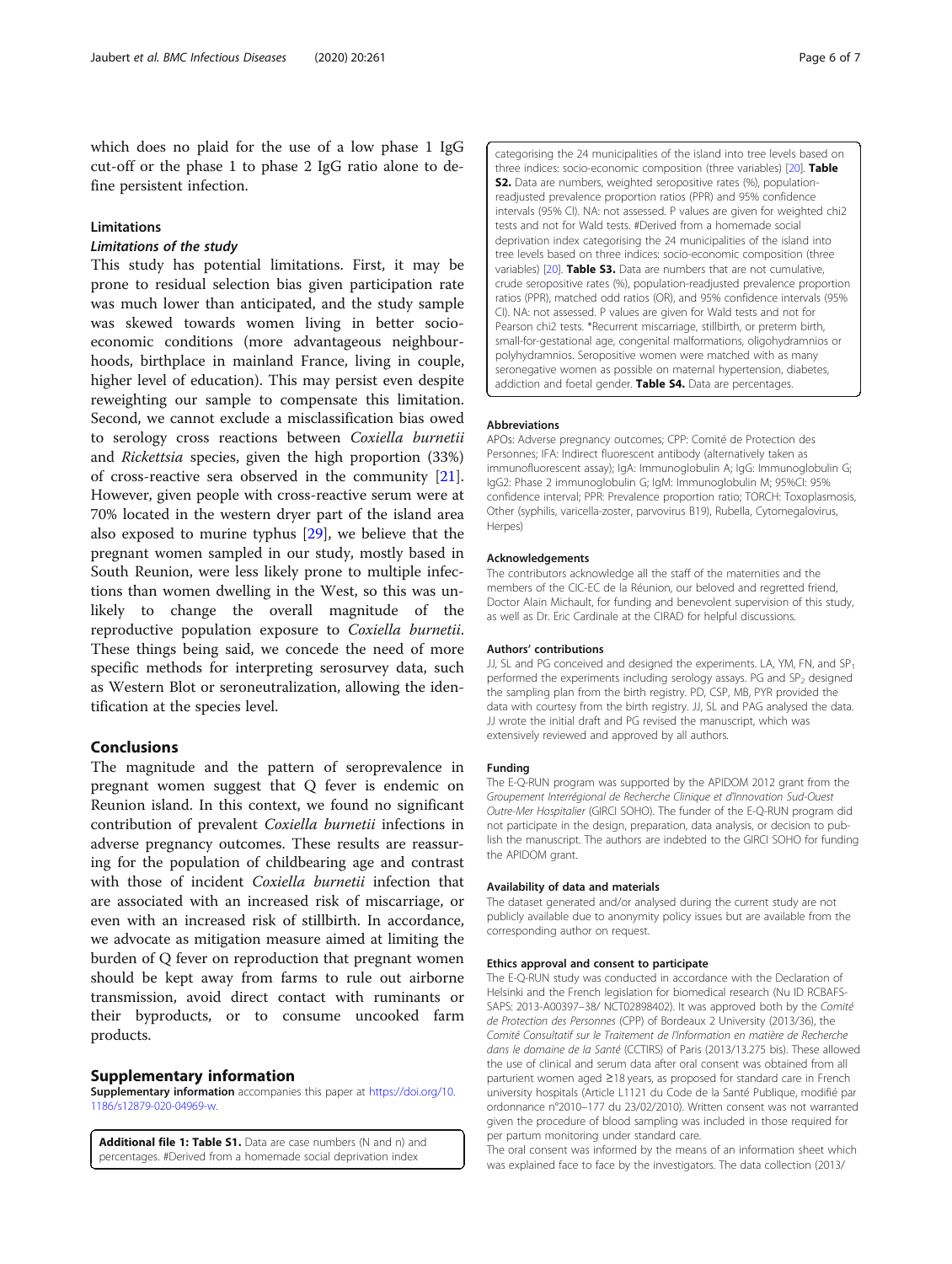<span id="page-5-0"></span>which does no plaid for the use of a low phase 1 IgG cut-off or the phase 1 to phase 2 IgG ratio alone to define persistent infection.

# Limitations

### Limitations of the study

This study has potential limitations. First, it may be prone to residual selection bias given participation rate was much lower than anticipated, and the study sample was skewed towards women living in better socioeconomic conditions (more advantageous neighbourhoods, birthplace in mainland France, living in couple, higher level of education). This may persist even despite reweighting our sample to compensate this limitation. Second, we cannot exclude a misclassification bias owed to serology cross reactions between Coxiella burnetii and Rickettsia species, given the high proportion (33%) of cross-reactive sera observed in the community [\[21](#page-6-0)]. However, given people with cross-reactive serum were at 70% located in the western dryer part of the island area also exposed to murine typhus [\[29](#page-6-0)], we believe that the pregnant women sampled in our study, mostly based in South Reunion, were less likely prone to multiple infections than women dwelling in the West, so this was unlikely to change the overall magnitude of the reproductive population exposure to Coxiella burnetii. These things being said, we concede the need of more specific methods for interpreting serosurvey data, such as Western Blot or seroneutralization, allowing the identification at the species level.

# Conclusions

The magnitude and the pattern of seroprevalence in pregnant women suggest that Q fever is endemic on Reunion island. In this context, we found no significant contribution of prevalent Coxiella burnetii infections in adverse pregnancy outcomes. These results are reassuring for the population of childbearing age and contrast with those of incident Coxiella burnetii infection that are associated with an increased risk of miscarriage, or even with an increased risk of stillbirth. In accordance, we advocate as mitigation measure aimed at limiting the burden of Q fever on reproduction that pregnant women should be kept away from farms to rule out airborne transmission, avoid direct contact with ruminants or their byproducts, or to consume uncooked farm products.

#### Supplementary information

Supplementary information accompanies this paper at [https://doi.org/10.](https://doi.org/10.1186/s12879-020-04969-w) [1186/s12879-020-04969-w](https://doi.org/10.1186/s12879-020-04969-w).

Additional file 1: Table S1. Data are case numbers (N and n) and percentages. #Derived from a homemade social deprivation index

categorising the 24 municipalities of the island into tree levels based on three indices: socio-economic composition (three variables) [20]. Table S2. Data are numbers, weighted seropositive rates (%), populationreadjusted prevalence proportion ratios (PPR) and 95% confidence intervals (95% CI). NA: not assessed. P values are given for weighted chi2 tests and not for Wald tests. #Derived from a homemade social deprivation index categorising the 24 municipalities of the island into tree levels based on three indices: socio-economic composition (three variables) [20]. Table S3. Data are numbers that are not cumulative, crude seropositive rates (%), population-readjusted prevalence proportion ratios (PPR), matched odd ratios (OR), and 95% confidence intervals (95% CI). NA: not assessed. P values are given for Wald tests and not for Pearson chi2 tests. \*Recurrent miscarriage, stillbirth, or preterm birth, small-for-gestational age, congenital malformations, oligohydramnios or polyhydramnios. Seropositive women were matched with as many seronegative women as possible on maternal hypertension, diabetes, addiction and foetal gender. Table S4. Data are percentages.

# Abbreviations

APOs: Adverse pregnancy outcomes; CPP: Comité de Protection des Personnes; IFA: Indirect fluorescent antibody (alternatively taken as immunofluorescent assay); IgA: Immunoglobulin A; IgG: Immunoglobulin G; IgG2: Phase 2 immunoglobulin G; IgM: Immunoglobulin M; 95%CI: 95% confidence interval; PPR: Prevalence proportion ratio; TORCH: Toxoplasmosis, Other (syphilis, varicella-zoster, parvovirus B19), Rubella, Cytomegalovirus, Herpes)

#### Acknowledgements

The contributors acknowledge all the staff of the maternities and the members of the CIC-EC de la Réunion, our beloved and regretted friend, Doctor Alain Michault, for funding and benevolent supervision of this study, as well as Dr. Eric Cardinale at the CIRAD for helpful discussions.

#### Authors' contributions

JJ, SL and PG conceived and designed the experiments. LA, YM, FN, and SP<sub>1</sub> performed the experiments including serology assays. PG and SP<sub>2</sub> designed the sampling plan from the birth registry. PD, CSP, MB, PYR provided the data with courtesy from the birth registry. JJ, SL and PAG analysed the data. JJ wrote the initial draft and PG revised the manuscript, which was extensively reviewed and approved by all authors.

#### Funding

The E-Q-RUN program was supported by the APIDOM 2012 grant from the Groupement Interrégional de Recherche Clinique et d'Innovation Sud-Ouest Outre-Mer Hospitalier (GIRCI SOHO). The funder of the E-Q-RUN program did not participate in the design, preparation, data analysis, or decision to publish the manuscript. The authors are indebted to the GIRCI SOHO for funding the APIDOM grant.

#### Availability of data and materials

The dataset generated and/or analysed during the current study are not publicly available due to anonymity policy issues but are available from the corresponding author on request.

#### Ethics approval and consent to participate

The E-Q-RUN study was conducted in accordance with the Declaration of Helsinki and the French legislation for biomedical research (Nu ID RCBAFS-SAPS: 2013-A00397–38/ NCT02898402). It was approved both by the Comité de Protection des Personnes (CPP) of Bordeaux 2 University (2013/36), the Comité Consultatif sur le Traitement de l'Information en matière de Recherche dans le domaine de la Santé (CCTIRS) of Paris (2013/13.275 bis). These allowed the use of clinical and serum data after oral consent was obtained from all parturient women aged ≥18 years, as proposed for standard care in French university hospitals (Article L1121 du Code de la Santé Publique, modifié par ordonnance n°2010–177 du 23/02/2010). Written consent was not warranted given the procedure of blood sampling was included in those required for per partum monitoring under standard care.

The oral consent was informed by the means of an information sheet which was explained face to face by the investigators. The data collection (2013/